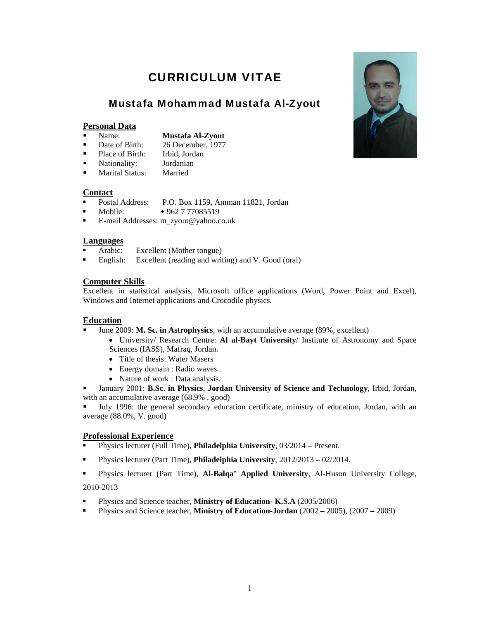# CURRICULUM VITAE

# Mustafa Mohammad Mustafa Al-Zyout

# **Personal Data**

- - Name: **Mustafa Al-Zyout**
- Date of Birth: 26 December, 1977
- Place of Birth: Irbid, Jordan
- Nationality: Jordanian
- **Marital Status:** Married

#### **Contact**

- Postal Address: P.O. Box 1159, Amman 11821, Jordan
- Mobile: + 962 7 77085519
- E-mail Addresses: m\_zyout@yahoo.co.uk

# **Languages**

- Arabic: Excellent (Mother tongue)
- **English:** Excellent (reading and writing) and V. Good (oral)

# **Computer Skills**

Excellent in statistical analysis, Microsoft office applications (Word, Power Point and Excel), Windows and Internet applications and Crocodile physics.

# **Education**

- June 2009: **M. Sc. in Astrophysics**, with an accumulative average (89%, excellent)
	- University/ Research Centre: **Al al-Bayt University**/ Institute of Astronomy and Space Sciences (IASS), Mafraq, Jordan.
	- Title of thesis: Water Masers
	- Energy domain : Radio waves.
	- Nature of work : Data analysis.
- January 2001: **B.Sc. in Physics**, **Jordan University of Science and Technology**, Irbid, Jordan, with an accumulative average (68.9%, good)

 July 1996: the general secondary education certificate, ministry of education, Jordan, with an average (88.0%, V. good)

# **Professional Experience**

- Physics lecturer (Full Time), **Philadelphia University**, 03/2014 Present.
- Physics lecturer (Part Time), **Philadelphia University**, 2012/2013 02/2014.
- Physics lecturer (Part Time), **Al-Balqa' Applied University**, Al-Huson University College,

#### 2010-2013

- Physics and Science teacher, **Ministry of Education- K.S.A** (2005/2006)
- Physics and Science teacher, **Ministry of Education-Jordan** (2002 2005), (2007 2009)